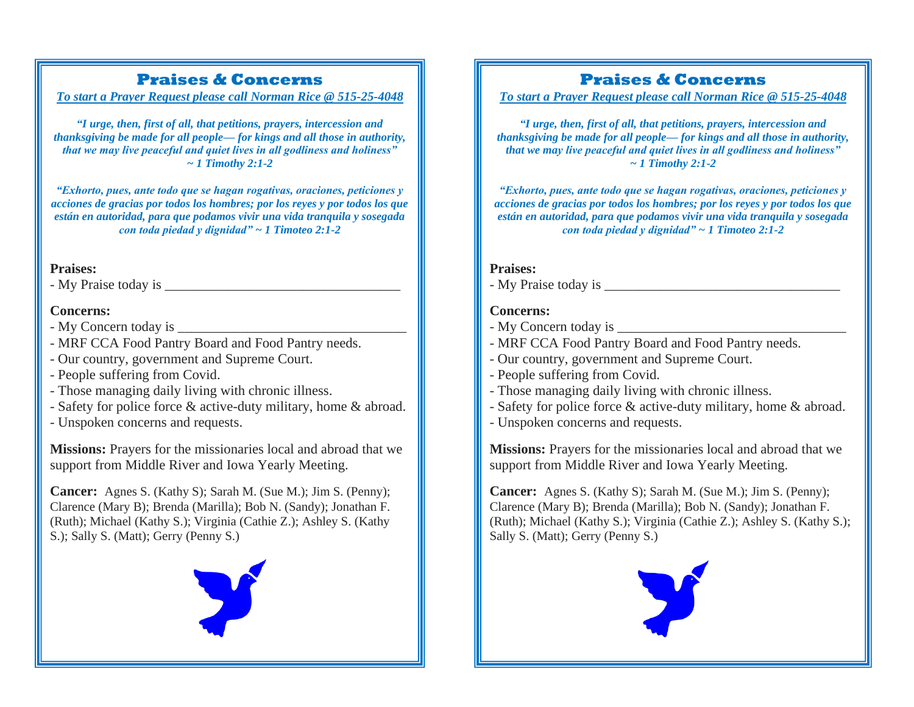## **Praises & Concerns**

*To start a Prayer Request please call Norman Rice @ 515-25-4048*

*"I urge, then, first of all, that petitions, prayers, intercession and thanksgiving be made for all people— for kings and all those in authority, that we may live peaceful and quiet lives in all godliness and holiness" ~ 1 Timothy 2:1-2*

*"Exhorto, pues, ante todo que se hagan rogativas, oraciones, peticiones y acciones de gracias por todos los hombres; por los reyes y por todos los que están en autoridad, para que podamos vivir una vida tranquila y sosegada con toda piedad y dignidad" ~ 1 Timoteo 2:1-2*

### **Praises:**

- My Praise today is \_\_\_\_\_\_\_\_\_\_\_\_\_\_\_\_\_\_\_\_\_\_\_\_\_\_\_\_\_\_\_\_\_\_

### **Concerns:**

- My Concern today is \_\_\_\_\_\_\_\_\_\_\_\_\_\_\_\_\_\_\_\_\_\_\_\_\_\_\_\_\_\_\_\_\_
- MRF CCA Food Pantry Board and Food Pantry needs.
- Our country, government and Supreme Court.
- People suffering from Covid.
- Those managing daily living with chronic illness.
- Safety for police force & active-duty military, home & abroad.
- Unspoken concerns and requests.

**Missions:** Prayers for the missionaries local and abroad that we support from Middle River and Iowa Yearly Meeting.

**Cancer:** Agnes S. (Kathy S); Sarah M. (Sue M.); Jim S. (Penny); Clarence (Mary B); Brenda (Marilla); Bob N. (Sandy); Jonathan F. (Ruth); Michael (Kathy S.); Virginia (Cathie Z.); Ashley S. (Kathy S.); Sally S. (Matt); Gerry (Penny S.)



# **Praises & Concerns**

*To start a Prayer Request please call Norman Rice @ 515-25-4048*

*"I urge, then, first of all, that petitions, prayers, intercession and thanksgiving be made for all people— for kings and all those in authority, that we may live peaceful and quiet lives in all godliness and holiness" ~ 1 Timothy 2:1-2*

*"Exhorto, pues, ante todo que se hagan rogativas, oraciones, peticiones y acciones de gracias por todos los hombres; por los reyes y por todos los que están en autoridad, para que podamos vivir una vida tranquila y sosegada con toda piedad y dignidad" ~ 1 Timoteo 2:1-2*

### **Praises:**

- My Praise today is \_\_\_\_\_\_\_\_\_\_\_\_\_\_\_\_\_\_\_\_\_\_\_\_\_\_\_\_\_\_\_\_\_\_

### **Concerns:**

- My Concern today is \_\_\_\_\_\_\_\_\_\_\_\_\_\_\_\_\_\_\_\_\_\_\_\_\_\_\_\_\_\_\_\_\_
- MRF CCA Food Pantry Board and Food Pantry needs.
- Our country, government and Supreme Court.
- People suffering from Covid.
- Those managing daily living with chronic illness.
- Safety for police force & active-duty military, home & abroad.
- Unspoken concerns and requests.

**Missions:** Prayers for the missionaries local and abroad that we support from Middle River and Iowa Yearly Meeting.

**Cancer:** Agnes S. (Kathy S); Sarah M. (Sue M.); Jim S. (Penny); Clarence (Mary B); Brenda (Marilla); Bob N. (Sandy); Jonathan F. (Ruth); Michael (Kathy S.); Virginia (Cathie Z.); Ashley S. (Kathy S.); Sally S. (Matt); Gerry (Penny S.)